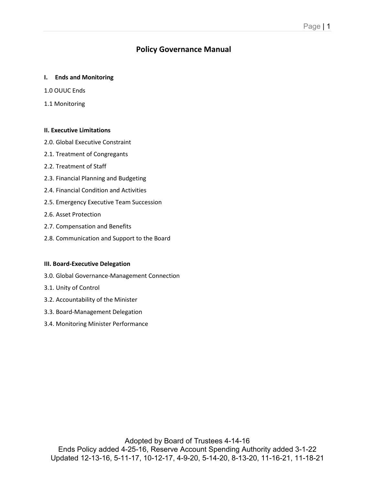# **Policy Governance Manual**

#### **I. Ends and Monitoring**

- 1.0 OUUC Ends
- 1.1 Monitoring

#### **II. Executive Limitations**

- 2.0. Global Executive Constraint
- 2.1. Treatment of Congregants
- 2.2. Treatment of Staff
- 2.3. Financial Planning and Budgeting
- 2.4. Financial Condition and Activities
- 2.5. Emergency Executive Team Succession
- 2.6. Asset Protection
- 2.7. Compensation and Benefits
- 2.8. Communication and Support to the Board

#### **III. Board-Executive Delegation**

- 3.0. Global Governance-Management Connection
- 3.1. Unity of Control
- 3.2. Accountability of the Minister
- 3.3. Board-Management Delegation
- 3.4. Monitoring Minister Performance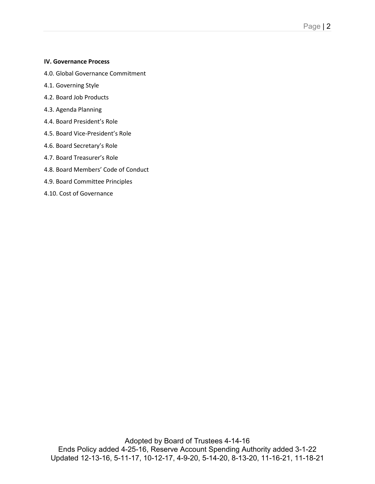#### **IV. Governance Process**

- 4.0. Global Governance Commitment
- 4.1. Governing Style
- 4.2. Board Job Products
- 4.3. Agenda Planning
- 4.4. Board President's Role
- 4.5. Board Vice-President's Role
- 4.6. Board Secretary's Role
- 4.7. Board Treasurer's Role
- 4.8. Board Members' Code of Conduct
- 4.9. Board Committee Principles
- 4.10. Cost of Governance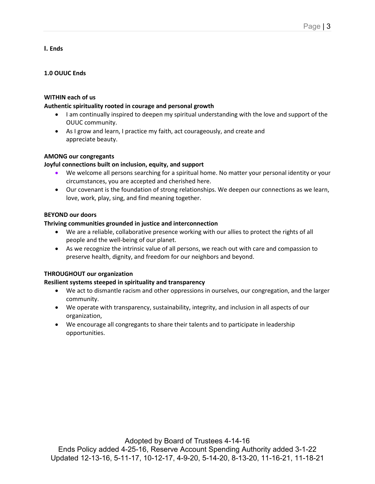**I. Ends**

## **1.0 OUUC Ends**

## **WITHIN each of us**

## **Authentic spirituality rooted in courage and personal growth**

- I am continually inspired to deepen my spiritual understanding with the love and support of the OUUC community.
- As I grow and learn, I practice my faith, act courageously, and create and appreciate beauty.

## **AMONG our congregants**

## **Joyful connections built on inclusion, equity, and support**

- We welcome all persons searching for a spiritual home. No matter your personal identity or your circumstances, you are accepted and cherished here.
- Our covenant is the foundation of strong relationships. We deepen our connections as we learn, love, work, play, sing, and find meaning together.

## **BEYOND our doors**

## **Thriving communities grounded in justice and interconnection**

- We are a reliable, collaborative presence working with our allies to protect the rights of all people and the well-being of our planet.
- As we recognize the intrinsic value of all persons, we reach out with care and compassion to preserve health, dignity, and freedom for our neighbors and beyond.

## **THROUGHOUT our organization**

## **Resilient systems steeped in spirituality and transparency**

- We act to dismantle racism and other oppressions in ourselves, our congregation, and the larger community.
- We operate with transparency, sustainability, integrity, and inclusion in all aspects of our organization,
- We encourage all congregants to share their talents and to participate in leadership opportunities.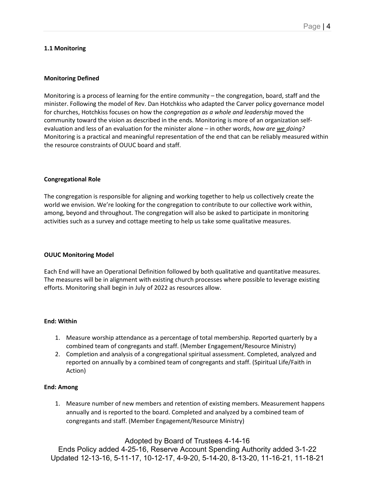#### **1.1 Monitoring**

#### **Monitoring Defined**

Monitoring is a process of learning for the entire community – the congregation, board, staff and the minister. Following the model of Rev. Dan Hotchkiss who adapted the Carver policy governance model for churches, Hotchkiss focuses on how the *congregation as a whole and leadership* moved the community toward the vision as described in the ends. Monitoring is more of an organization selfevaluation and less of an evaluation for the minister alone – in other words, *how are we doing?* Monitoring is a practical and meaningful representation of the end that can be reliably measured within the resource constraints of OUUC board and staff.

#### **Congregational Role**

The congregation is responsible for aligning and working together to help us collectively create the world we envision. We're looking for the congregation to contribute to our collective work within, among, beyond and throughout. The congregation will also be asked to participate in monitoring activities such as a survey and cottage meeting to help us take some qualitative measures.

#### **OUUC Monitoring Model**

Each End will have an Operational Definition followed by both qualitative and quantitative measures. The measures will be in alignment with existing church processes where possible to leverage existing efforts. Monitoring shall begin in July of 2022 as resources allow.

#### **End: Within**

- 1. Measure worship attendance as a percentage of total membership. Reported quarterly by a combined team of congregants and staff. (Member Engagement/Resource Ministry)
- 2. Completion and analysis of a congregational spiritual assessment. Completed, analyzed and reported on annually by a combined team of congregants and staff. (Spiritual Life/Faith in Action)

#### **End: Among**

1. Measure number of new members and retention of existing members. Measurement happens annually and is reported to the board. Completed and analyzed by a combined team of congregants and staff. (Member Engagement/Resource Ministry)

## Adopted by Board of Trustees 4-14-16

Ends Policy added 4-25-16, Reserve Account Spending Authority added 3-1-22 Updated 12-13-16, 5-11-17, 10-12-17, 4-9-20, 5-14-20, 8-13-20, 11-16-21, 11-18-21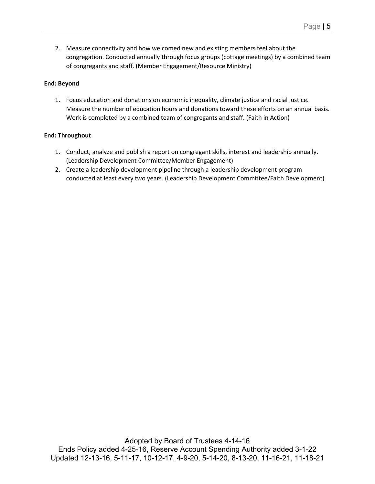2. Measure connectivity and how welcomed new and existing members feel about the congregation. Conducted annually through focus groups (cottage meetings) by a combined team of congregants and staff. (Member Engagement/Resource Ministry)

### **End: Beyond**

1. Focus education and donations on economic inequality, climate justice and racial justice. Measure the number of education hours and donations toward these efforts on an annual basis. Work is completed by a combined team of congregants and staff. (Faith in Action)

## **End: Throughout**

- 1. Conduct, analyze and publish a report on congregant skills, interest and leadership annually. (Leadership Development Committee/Member Engagement)
- 2. Create a leadership development pipeline through a leadership development program conducted at least every two years. (Leadership Development Committee/Faith Development)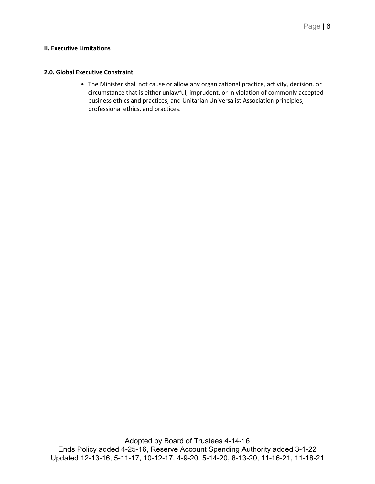#### **II. Executive Limitations**

#### **2.0. Global Executive Constraint**

• The Minister shall not cause or allow any organizational practice, activity, decision, or circumstance that is either unlawful, imprudent, or in violation of commonly accepted business ethics and practices, and Unitarian Universalist Association principles, professional ethics, and practices.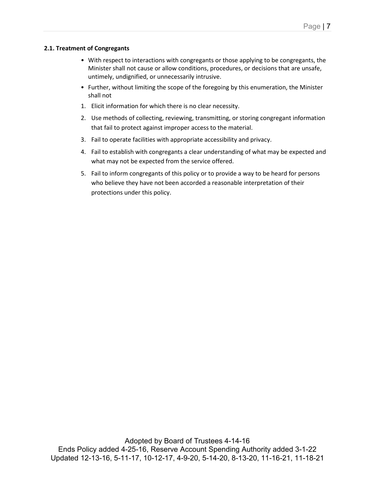## **2.1. Treatment of Congregants**

- With respect to interactions with congregants or those applying to be congregants, the Minister shall not cause or allow conditions, procedures, or decisions that are unsafe, untimely, undignified, or unnecessarily intrusive.
- Further, without limiting the scope of the foregoing by this enumeration, the Minister shall not
- 1. Elicit information for which there is no clear necessity.
- 2. Use methods of collecting, reviewing, transmitting, or storing congregant information that fail to protect against improper access to the material.
- 3. Fail to operate facilities with appropriate accessibility and privacy.
- 4. Fail to establish with congregants a clear understanding of what may be expected and what may not be expected from the service offered.
- 5. Fail to inform congregants of this policy or to provide a way to be heard for persons who believe they have not been accorded a reasonable interpretation of their protections under this policy.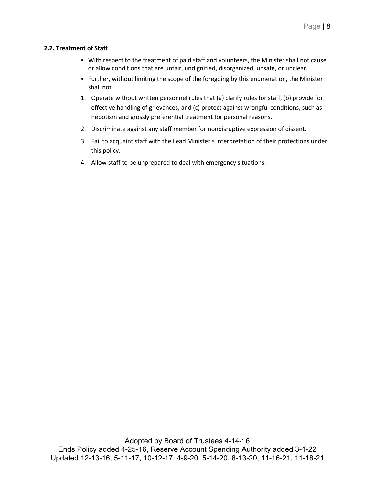## **2.2. Treatment of Staff**

- With respect to the treatment of paid staff and volunteers, the Minister shall not cause or allow conditions that are unfair, undignified, disorganized, unsafe, or unclear.
- Further, without limiting the scope of the foregoing by this enumeration, the Minister shall not
- 1. Operate without written personnel rules that (a) clarify rules for staff, (b) provide for effective handling of grievances, and (c) protect against wrongful conditions, such as nepotism and grossly preferential treatment for personal reasons.
- 2. Discriminate against any staff member for nondisruptive expression of dissent.
- 3. Fail to acquaint staff with the Lead Minister's interpretation of their protections under this policy.
- 4. Allow staff to be unprepared to deal with emergency situations.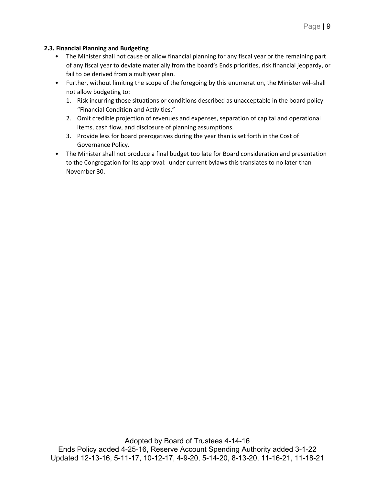## **2.3. Financial Planning and Budgeting**

- The Minister shall not cause or allow financial planning for any fiscal year or the remaining part of any fiscal year to deviate materially from the board's Ends priorities, risk financial jeopardy, or fail to be derived from a multiyear plan.
- Further, without limiting the scope of the foregoing by this enumeration, the Minister will-shall not allow budgeting to:
	- 1. Risk incurring those situations or conditions described as unacceptable in the board policy "Financial Condition and Activities."
	- 2. Omit credible projection of revenues and expenses, separation of capital and operational items, cash flow, and disclosure of planning assumptions.
	- 3. Provide less for board prerogatives during the year than is set forth in the Cost of Governance Policy.
- The Minister shall not produce a final budget too late for Board consideration and presentation to the Congregation for its approval: under current bylaws this translates to no later than November 30.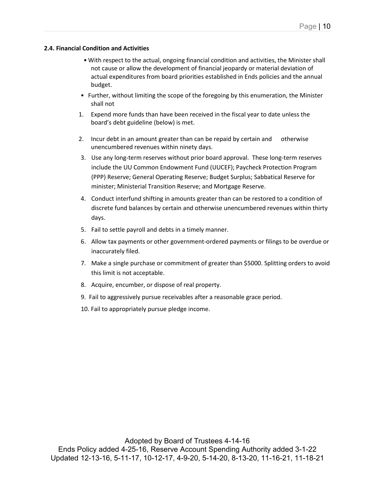#### **2.4. Financial Condition and Activities**

- With respect to the actual, ongoing financial condition and activities, the Minister shall not cause or allow the development of financial jeopardy or material deviation of actual expenditures from board priorities established in Ends policies and the annual budget.
- Further, without limiting the scope of the foregoing by this enumeration, the Minister shall not
- 1. Expend more funds than have been received in the fiscal year to date unless the board's debt guideline (below) is met.
- 2. Incur debt in an amount greater than can be repaid by certain and otherwise unencumbered revenues within ninety days.
- 3. Use any long-term reserves without prior board approval. These long-term reserves include the UU Common Endowment Fund (UUCEF); Paycheck Protection Program (PPP) Reserve; General Operating Reserve; Budget Surplus; Sabbatical Reserve for minister; Ministerial Transition Reserve; and Mortgage Reserve.
- 4. Conduct interfund shifting in amounts greater than can be restored to a condition of discrete fund balances by certain and otherwise unencumbered revenues within thirty days.
- 5. Fail to settle payroll and debts in a timely manner.
- 6. Allow tax payments or other government-ordered payments or filings to be overdue or inaccurately filed.
- 7. Make a single purchase or commitment of greater than \$5000. Splitting orders to avoid this limit is not acceptable.
- 8. Acquire, encumber, or dispose of real property.
- 9. Fail to aggressively pursue receivables after a reasonable grace period.
- 10. Fail to appropriately pursue pledge income.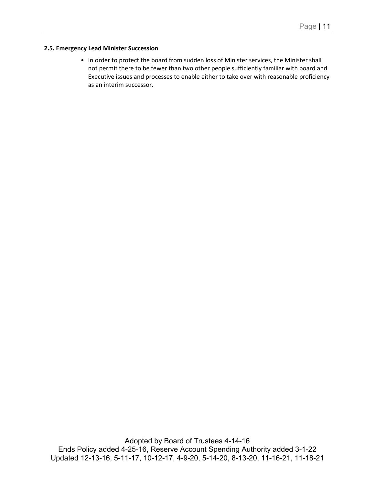#### **2.5. Emergency Lead Minister Succession**

• In order to protect the board from sudden loss of Minister services, the Minister shall not permit there to be fewer than two other people sufficiently familiar with board and Executive issues and processes to enable either to take over with reasonable proficiency as an interim successor.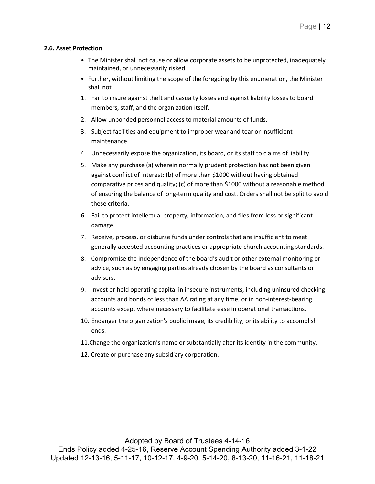#### **2.6. Asset Protection**

- The Minister shall not cause or allow corporate assets to be unprotected, inadequately maintained, or unnecessarily risked.
- Further, without limiting the scope of the foregoing by this enumeration, the Minister shall not
- 1. Fail to insure against theft and casualty losses and against liability losses to board members, staff, and the organization itself.
- 2. Allow unbonded personnel access to material amounts of funds.
- 3. Subject facilities and equipment to improper wear and tear or insufficient maintenance.
- 4. Unnecessarily expose the organization, its board, or its staff to claims of liability.
- 5. Make any purchase (a) wherein normally prudent protection has not been given against conflict of interest; (b) of more than \$1000 without having obtained comparative prices and quality; (c) of more than \$1000 without a reasonable method of ensuring the balance of long-term quality and cost. Orders shall not be split to avoid these criteria.
- 6. Fail to protect intellectual property, information, and files from loss or significant damage.
- 7. Receive, process, or disburse funds under controls that are insufficient to meet generally accepted accounting practices or appropriate church accounting standards.
- 8. Compromise the independence of the board's audit or other external monitoring or advice, such as by engaging parties already chosen by the board as consultants or advisers.
- 9. Invest or hold operating capital in insecure instruments, including uninsured checking accounts and bonds of less than AA rating at any time, or in non-interest-bearing accounts except where necessary to facilitate ease in operational transactions.
- 10. Endanger the organization's public image, its credibility, or its ability to accomplish ends.
- 11.Change the organization's name or substantially alter its identity in the community.
- 12. Create or purchase any subsidiary corporation.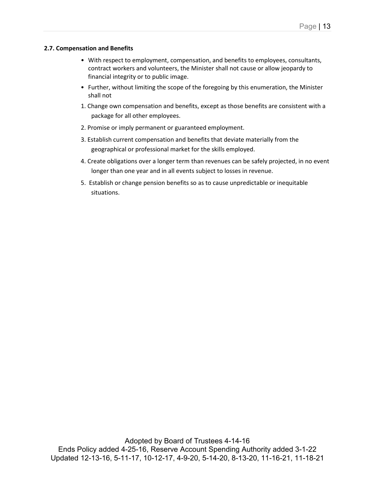#### **2.7. Compensation and Benefits**

- With respect to employment, compensation, and benefits to employees, consultants, contract workers and volunteers, the Minister shall not cause or allow jeopardy to financial integrity or to public image.
- Further, without limiting the scope of the foregoing by this enumeration, the Minister shall not
- 1. Change own compensation and benefits, except as those benefits are consistent with a package for all other employees.
- 2. Promise or imply permanent or guaranteed employment.
- 3. Establish current compensation and benefits that deviate materially from the geographical or professional market for the skills employed.
- 4. Create obligations over a longer term than revenues can be safely projected, in no event longer than one year and in all events subject to losses in revenue.
- 5. Establish or change pension benefits so as to cause unpredictable or inequitable situations.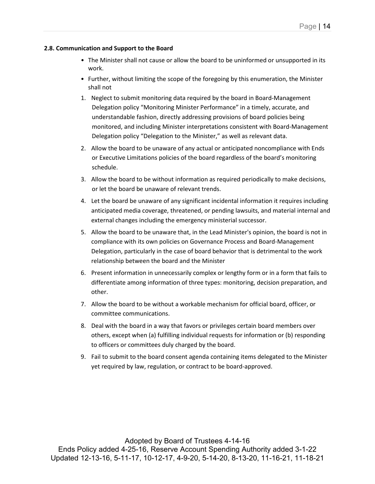#### **2.8. Communication and Support to the Board**

- The Minister shall not cause or allow the board to be uninformed or unsupported in its work.
- Further, without limiting the scope of the foregoing by this enumeration, the Minister shall not
- 1. Neglect to submit monitoring data required by the board in Board-Management Delegation policy "Monitoring Minister Performance" in a timely, accurate, and understandable fashion, directly addressing provisions of board policies being monitored, and including Minister interpretations consistent with Board-Management Delegation policy "Delegation to the Minister," as well as relevant data.
- 2. Allow the board to be unaware of any actual or anticipated noncompliance with Ends or Executive Limitations policies of the board regardless of the board's monitoring schedule.
- 3. Allow the board to be without information as required periodically to make decisions, or let the board be unaware of relevant trends.
- 4. Let the board be unaware of any significant incidental information it requires including anticipated media coverage, threatened, or pending lawsuits, and material internal and external changes including the emergency ministerial successor.
- 5. Allow the board to be unaware that, in the Lead Minister's opinion, the board is not in compliance with its own policies on Governance Process and Board-Management Delegation, particularly in the case of board behavior that is detrimental to the work relationship between the board and the Minister
- 6. Present information in unnecessarily complex or lengthy form or in a form that fails to differentiate among information of three types: monitoring, decision preparation, and other.
- 7. Allow the board to be without a workable mechanism for official board, officer, or committee communications.
- 8. Deal with the board in a way that favors or privileges certain board members over others, except when (a) fulfilling individual requests for information or (b) responding to officers or committees duly charged by the board.
- 9. Fail to submit to the board consent agenda containing items delegated to the Minister yet required by law, regulation, or contract to be board-approved.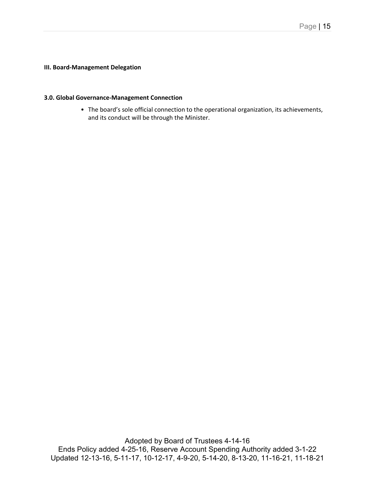## **III. Board-Management Delegation**

#### **3.0. Global Governance-Management Connection**

• The board's sole official connection to the operational organization, its achievements, and its conduct will be through the Minister.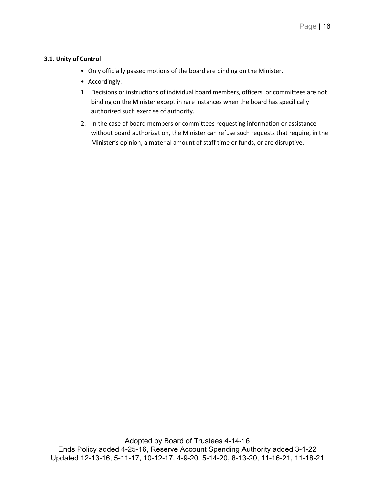## **3.1. Unity of Control**

- Only officially passed motions of the board are binding on the Minister.
- Accordingly:
- 1. Decisions or instructions of individual board members, officers, or committees are not binding on the Minister except in rare instances when the board has specifically authorized such exercise of authority.
- 2. In the case of board members or committees requesting information or assistance without board authorization, the Minister can refuse such requests that require, in the Minister's opinion, a material amount of staff time or funds, or are disruptive.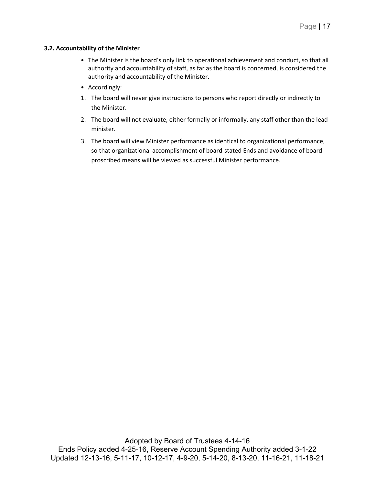## **3.2. Accountability of the Minister**

- The Minister is the board's only link to operational achievement and conduct, so that all authority and accountability of staff, as far as the board is concerned, is considered the authority and accountability of the Minister.
- Accordingly:
- 1. The board will never give instructions to persons who report directly or indirectly to the Minister.
- 2. The board will not evaluate, either formally or informally, any staff other than the lead minister.
- 3. The board will view Minister performance as identical to organizational performance, so that organizational accomplishment of board-stated Ends and avoidance of boardproscribed means will be viewed as successful Minister performance.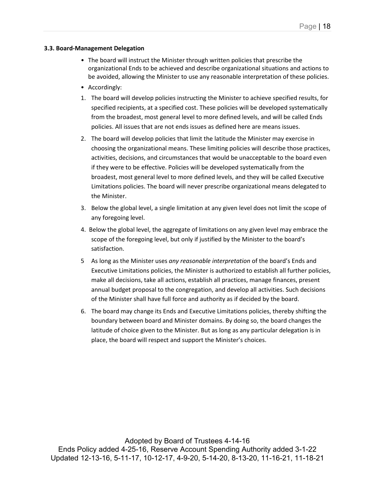### **3.3. Board-Management Delegation**

- The board will instruct the Minister through written policies that prescribe the organizational Ends to be achieved and describe organizational situations and actions to be avoided, allowing the Minister to use any reasonable interpretation of these policies.
- Accordingly:
- 1. The board will develop policies instructing the Minister to achieve specified results, for specified recipients, at a specified cost. These policies will be developed systematically from the broadest, most general level to more defined levels, and will be called Ends policies. All issues that are not ends issues as defined here are means issues.
- 2. The board will develop policies that limit the latitude the Minister may exercise in choosing the organizational means. These limiting policies will describe those practices, activities, decisions, and circumstances that would be unacceptable to the board even if they were to be effective. Policies will be developed systematically from the broadest, most general level to more defined levels, and they will be called Executive Limitations policies. The board will never prescribe organizational means delegated to the Minister.
- 3. Below the global level, a single limitation at any given level does not limit the scope of any foregoing level.
- 4. Below the global level, the aggregate of limitations on any given level may embrace the scope of the foregoing level, but only if justified by the Minister to the board's satisfaction.
- 5 As long as the Minister uses *any reasonable interpretation* of the board's Ends and Executive Limitations policies, the Minister is authorized to establish all further policies, make all decisions, take all actions, establish all practices, manage finances, present annual budget proposal to the congregation, and develop all activities. Such decisions of the Minister shall have full force and authority as if decided by the board.
- 6. The board may change its Ends and Executive Limitations policies, thereby shifting the boundary between board and Minister domains. By doing so, the board changes the latitude of choice given to the Minister. But as long as any particular delegation is in place, the board will respect and support the Minister's choices.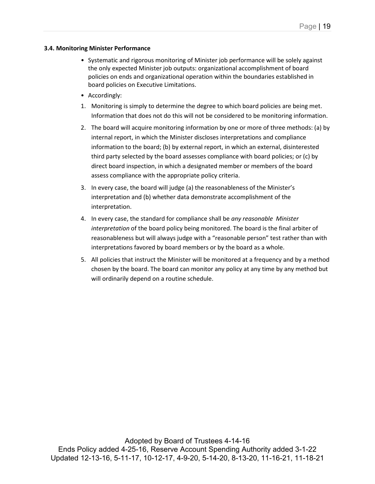### **3.4. Monitoring Minister Performance**

- Systematic and rigorous monitoring of Minister job performance will be solely against the only expected Minister job outputs: organizational accomplishment of board policies on ends and organizational operation within the boundaries established in board policies on Executive Limitations.
- Accordingly:
- 1. Monitoring is simply to determine the degree to which board policies are being met. Information that does not do this will not be considered to be monitoring information.
- 2. The board will acquire monitoring information by one or more of three methods: (a) by internal report, in which the Minister discloses interpretations and compliance information to the board; (b) by external report, in which an external, disinterested third party selected by the board assesses compliance with board policies; or (c) by direct board inspection, in which a designated member or members of the board assess compliance with the appropriate policy criteria.
- 3. In every case, the board will judge (a) the reasonableness of the Minister's interpretation and (b) whether data demonstrate accomplishment of the interpretation.
- 4. In every case, the standard for compliance shall be *any reasonable Minister interpretation* of the board policy being monitored. The board is the final arbiter of reasonableness but will always judge with a "reasonable person" test rather than with interpretations favored by board members or by the board as a whole.
- 5. All policies that instruct the Minister will be monitored at a frequency and by a method chosen by the board. The board can monitor any policy at any time by any method but will ordinarily depend on a routine schedule.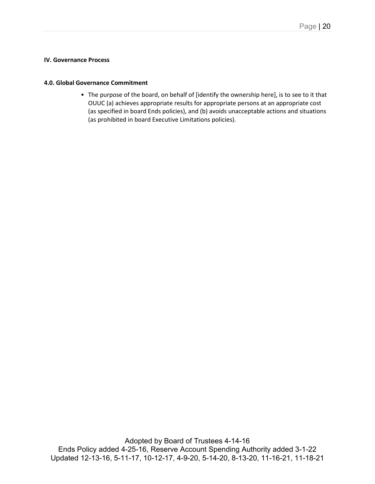### **IV. Governance Process**

#### **4.0. Global Governance Commitment**

• The purpose of the board, on behalf of [identify the ownership here], is to see to it that OUUC (a) achieves appropriate results for appropriate persons at an appropriate cost (as specified in board Ends policies), and (b) avoids unacceptable actions and situations (as prohibited in board Executive Limitations policies).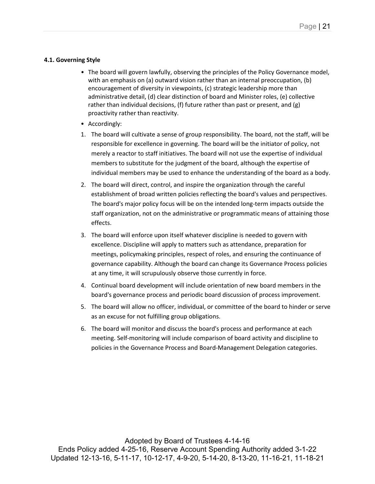## **4.1. Governing Style**

- The board will govern lawfully, observing the principles of the Policy Governance model, with an emphasis on (a) outward vision rather than an internal preoccupation, (b) encouragement of diversity in viewpoints, (c) strategic leadership more than administrative detail, (d) clear distinction of board and Minister roles, (e) collective rather than individual decisions, (f) future rather than past or present, and (g) proactivity rather than reactivity.
- Accordingly:
- 1. The board will cultivate a sense of group responsibility. The board, not the staff, will be responsible for excellence in governing. The board will be the initiator of policy, not merely a reactor to staff initiatives. The board will not use the expertise of individual members to substitute for the judgment of the board, although the expertise of individual members may be used to enhance the understanding of the board as a body.
- 2. The board will direct, control, and inspire the organization through the careful establishment of broad written policies reflecting the board's values and perspectives. The board's major policy focus will be on the intended long-term impacts outside the staff organization, not on the administrative or programmatic means of attaining those effects.
- 3. The board will enforce upon itself whatever discipline is needed to govern with excellence. Discipline will apply to matters such as attendance, preparation for meetings, policymaking principles, respect of roles, and ensuring the continuance of governance capability. Although the board can change its Governance Process policies at any time, it will scrupulously observe those currently in force.
- 4. Continual board development will include orientation of new board members in the board's governance process and periodic board discussion of process improvement.
- 5. The board will allow no officer, individual, or committee of the board to hinder or serve as an excuse for not fulfilling group obligations.
- 6. The board will monitor and discuss the board's process and performance at each meeting. Self-monitoring will include comparison of board activity and discipline to policies in the Governance Process and Board-Management Delegation categories.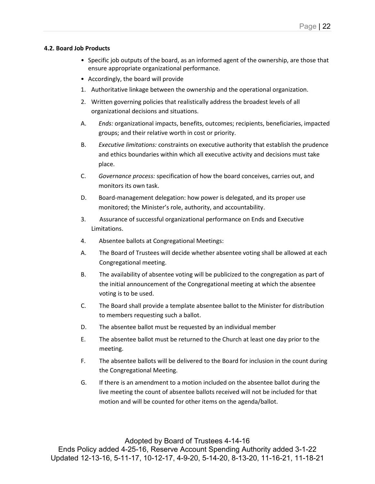#### **4.2. Board Job Products**

- Specific job outputs of the board, as an informed agent of the ownership, are those that ensure appropriate organizational performance.
- Accordingly, the board will provide
- 1. Authoritative linkage between the ownership and the operational organization.
- 2. Written governing policies that realistically address the broadest levels of all organizational decisions and situations.
- A. *Ends:* organizational impacts, benefits, outcomes; recipients, beneficiaries, impacted groups; and their relative worth in cost or priority.
- B. *Executive limitations:* constraints on executive authority that establish the prudence and ethics boundaries within which all executive activity and decisions must take place.
- C. *Governance process:* specification of how the board conceives, carries out, and monitors its own task.
- D. Board-management delegation: how power is delegated, and its proper use monitored; the Minister's role, authority, and accountability.
- 3. Assurance of successful organizational performance on Ends and Executive Limitations.
- 4. Absentee ballots at Congregational Meetings:
- A. The Board of Trustees will decide whether absentee voting shall be allowed at each Congregational meeting.
- B. The availability of absentee voting will be publicized to the congregation as part of the initial announcement of the Congregational meeting at which the absentee voting is to be used.
- C. The Board shall provide a template absentee ballot to the Minister for distribution to members requesting such a ballot.
- D. The absentee ballot must be requested by an individual member
- E. The absentee ballot must be returned to the Church at least one day prior to the meeting.
- F. The absentee ballots will be delivered to the Board for inclusion in the count during the Congregational Meeting.
- G. If there is an amendment to a motion included on the absentee ballot during the live meeting the count of absentee ballots received will not be included for that motion and will be counted for other items on the agenda/ballot.

Adopted by Board of Trustees 4-14-16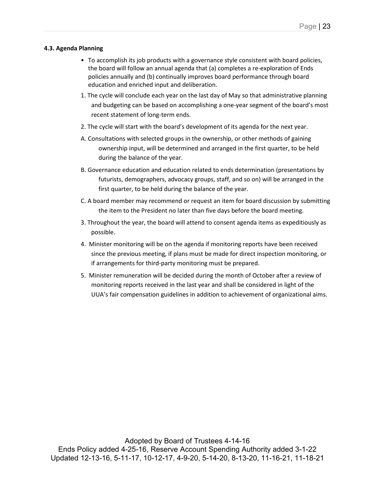## **4.3. Agenda Planning**

- To accomplish its job products with a governance style consistent with board policies, the board will follow an annual agenda that (a) completes a re-exploration of Ends policies annually and (b) continually improves board performance through board education and enriched input and deliberation.
- 1. The cycle will conclude each year on the last day of May so that administrative planning and budgeting can be based on accomplishing a one-year segment of the board's most recent statement of long-term ends.
- 2. The cycle will start with the board's development of its agenda for the next year.
- A. Consultations with selected groups in the ownership, or other methods of gaining ownership input, will be determined and arranged in the first quarter, to be held during the balance of the year.
- B. Governance education and education related to ends determination (presentations by futurists, demographers, advocacy groups, staff, and so on) will be arranged in the first quarter, to be held during the balance of the year.
- C. A board member may recommend or request an item for board discussion by submitting the item to the President no later than five days before the board meeting.
- 3. Throughout the year, the board will attend to consent agenda items as expeditiously as possible.
- 4. Minister monitoring will be on the agenda if monitoring reports have been received since the previous meeting, if plans must be made for direct inspection monitoring, or if arrangements for third-party monitoring must be prepared.
- 5. Minister remuneration will be decided during the month of October after a review of monitoring reports received in the last year and shall be considered in light of the UUA's fair compensation guidelines in addition to achievement of organizational aims.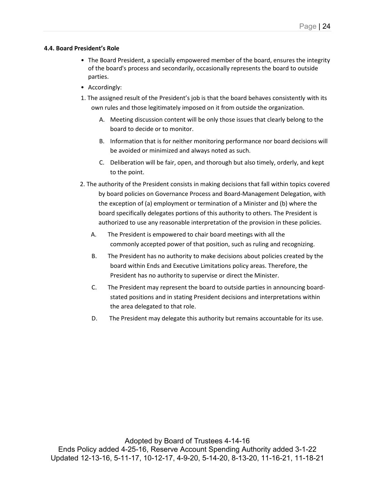#### **4.4. Board President's Role**

- The Board President, a specially empowered member of the board, ensures the integrity of the board's process and secondarily, occasionally represents the board to outside parties.
- Accordingly:
- 1. The assigned result of the President's job is that the board behaves consistently with its own rules and those legitimately imposed on it from outside the organization.
	- A. Meeting discussion content will be only those issues that clearly belong to the board to decide or to monitor.
	- B. Information that is for neither monitoring performance nor board decisions will be avoided or minimized and always noted as such.
	- C. Deliberation will be fair, open, and thorough but also timely, orderly, and kept to the point.
- 2. The authority of the President consists in making decisions that fall within topics covered by board policies on Governance Process and Board-Management Delegation, with the exception of (a) employment or termination of a Minister and (b) where the board specifically delegates portions of this authority to others. The President is authorized to use any reasonable interpretation of the provision in these policies.
	- A. The President is empowered to chair board meetings with all the commonly accepted power of that position, such as ruling and recognizing.
	- B. The President has no authority to make decisions about policies created by the board within Ends and Executive Limitations policy areas. Therefore, the President has no authority to supervise or direct the Minister.
	- C. The President may represent the board to outside parties in announcing boardstated positions and in stating President decisions and interpretations within the area delegated to that role.
	- D. The President may delegate this authority but remains accountable for its use.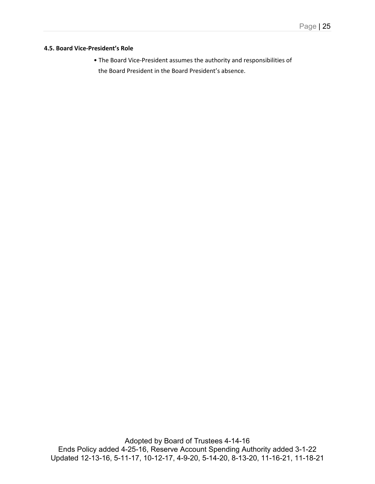#### **4.5. Board Vice-President's Role**

• The Board Vice-President assumes the authority and responsibilities of the Board President in the Board President's absence.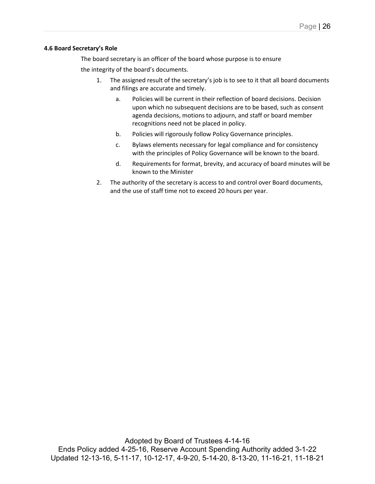#### **4.6 Board Secretary's Role**

The board secretary is an officer of the board whose purpose is to ensure the integrity of the board's documents.

- 1. The assigned result of the secretary's job is to see to it that all board documents and filings are accurate and timely.
	- a. Policies will be current in their reflection of board decisions. Decision upon which no subsequent decisions are to be based, such as consent agenda decisions, motions to adjourn, and staff or board member recognitions need not be placed in policy.
	- b. Policies will rigorously follow Policy Governance principles.
	- c. Bylaws elements necessary for legal compliance and for consistency with the principles of Policy Governance will be known to the board.
	- d. Requirements for format, brevity, and accuracy of board minutes will be known to the Minister
- 2. The authority of the secretary is access to and control over Board documents, and the use of staff time not to exceed 20 hours per year.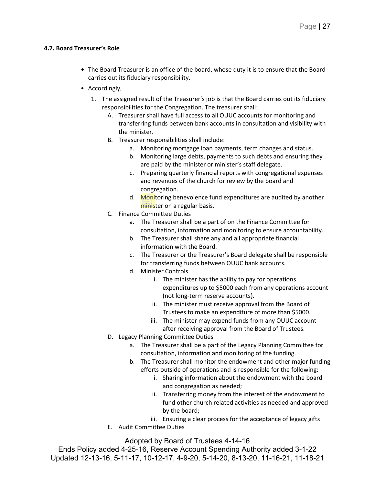## **4.7. Board Treasurer's Role**

- **•** The Board Treasurer is an office of the board, whose duty it is to ensure that the Board carries out its fiduciary responsibility.
- Accordingly,
	- 1. The assigned result of the Treasurer's job is that the Board carries out its fiduciary responsibilities for the Congregation. The treasurer shall:
		- A. Treasurer shall have full access to all OUUC accounts for monitoring and transferring funds between bank accounts in consultation and visibility with the minister.
		- B. Treasurer responsibilities shall include:
			- a. Monitoring mortgage loan payments, term changes and status.
			- b. Monitoring large debts, payments to such debts and ensuring they are paid by the minister or minister's staff delegate.
			- c. Preparing quarterly financial reports with congregational expenses and revenues of the church for review by the board and congregation.
			- d. Monitoring benevolence fund expenditures are audited by another minister on a regular basis.
		- C. Finance Committee Duties
			- a. The Treasurer shall be a part of on the Finance Committee for consultation, information and monitoring to ensure accountability.
			- b. The Treasurer shall share any and all appropriate financial information with the Board.
			- c. The Treasurer or the Treasurer's Board delegate shall be responsible for transferring funds between OUUC bank accounts.
			- d. Minister Controls
				- i. The minister has the ability to pay for operations expenditures up to \$5000 each from any operations account (not long-term reserve accounts).
				- ii. The minister must receive approval from the Board of Trustees to make an expenditure of more than \$5000.
				- iii. The minister may expend funds from any OUUC account after receiving approval from the Board of Trustees.
		- D. Legacy Planning Committee Duties
			- a. The Treasurer shall be a part of the Legacy Planning Committee for consultation, information and monitoring of the funding.
			- b. The Treasurer shall monitor the endowment and other major funding efforts outside of operations and is responsible for the following:
				- i. Sharing information about the endowment with the board and congregation as needed;
				- ii. Transferring money from the interest of the endowment to fund other church related activities as needed and approved by the board;
				- iii. Ensuring a clear process for the acceptance of legacy gifts
		- E. Audit Committee Duties

Adopted by Board of Trustees 4-14-16

Ends Policy added 4-25-16, Reserve Account Spending Authority added 3-1-22 Updated 12-13-16, 5-11-17, 10-12-17, 4-9-20, 5-14-20, 8-13-20, 11-16-21, 11-18-21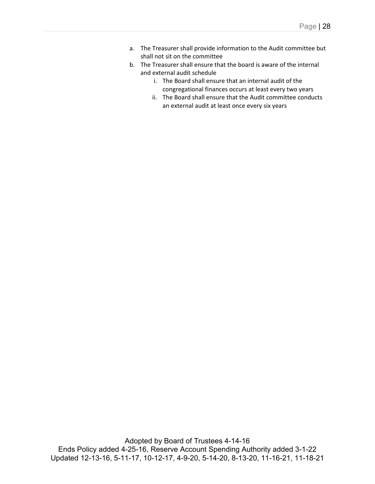- a. The Treasurer shall provide information to the Audit committee but shall not sit on the committee
- b. The Treasurer shall ensure that the board is aware of the internal and external audit schedule
	- i. The Board shall ensure that an internal audit of the congregational finances occurs at least every two years
	- ii. The Board shall ensure that the Audit committee conducts an external audit at least once every six years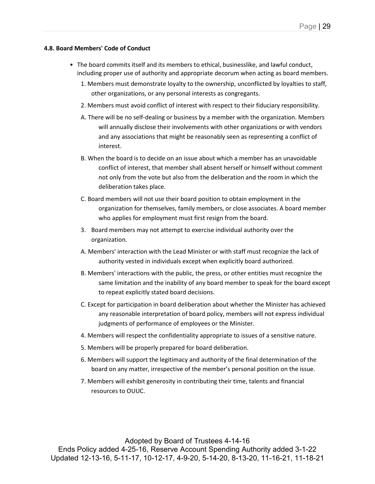### **4.8. Board Members' Code of Conduct**

- The board commits itself and its members to ethical, businesslike, and lawful conduct, including proper use of authority and appropriate decorum when acting as board members.
	- 1. Members must demonstrate loyalty to the ownership, unconflicted by loyalties to staff, other organizations, or any personal interests as congregants.
	- 2. Members must avoid conflict of interest with respect to their fiduciary responsibility.
	- A. There will be no self-dealing or business by a member with the organization. Members will annually disclose their involvements with other organizations or with vendors and any associations that might be reasonably seen as representing a conflict of interest.
	- B. When the board is to decide on an issue about which a member has an unavoidable conflict of interest, that member shall absent herself or himself without comment not only from the vote but also from the deliberation and the room in which the deliberation takes place.
	- C. Board members will not use their board position to obtain employment in the organization for themselves, family members, or close associates. A board member who applies for employment must first resign from the board.
	- 3. Board members may not attempt to exercise individual authority over the organization.
	- A. Members' interaction with the Lead Minister or with staff must recognize the lack of authority vested in individuals except when explicitly board authorized.
	- B. Members' interactions with the public, the press, or other entities must recognize the same limitation and the inability of any board member to speak for the board except to repeat explicitly stated board decisions.
	- C. Except for participation in board deliberation about whether the Minister has achieved any reasonable interpretation of board policy, members will not express individual judgments of performance of employees or the Minister.
	- 4. Members will respect the confidentiality appropriate to issues of a sensitive nature.
	- 5. Members will be properly prepared for board deliberation.
	- 6. Members will support the legitimacy and authority of the final determination of the board on any matter, irrespective of the member's personal position on the issue.
	- 7. Members will exhibit generosity in contributing their time, talents and financial resources to OUUC.

Adopted by Board of Trustees 4-14-16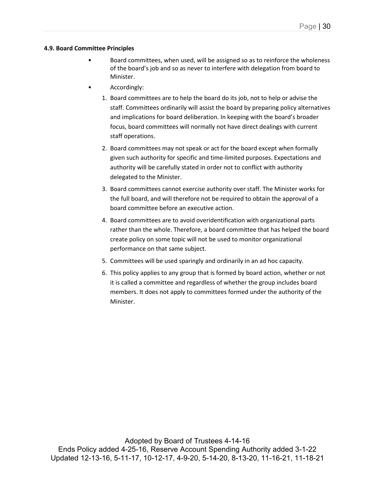#### **4.9. Board Committee Principles**

- Board committees, when used, will be assigned so as to reinforce the wholeness of the board's job and so as never to interfere with delegation from board to Minister.
- Accordingly:
	- 1. Board committees are to help the board do its job, not to help or advise the staff. Committees ordinarily will assist the board by preparing policy alternatives and implications for board deliberation. In keeping with the board's broader focus, board committees will normally not have direct dealings with current staff operations.
	- 2. Board committees may not speak or act for the board except when formally given such authority for specific and time-limited purposes. Expectations and authority will be carefully stated in order not to conflict with authority delegated to the Minister.
	- 3. Board committees cannot exercise authority over staff. The Minister works for the full board, and will therefore not be required to obtain the approval of a board committee before an executive action.
	- 4. Board committees are to avoid overidentification with organizational parts rather than the whole. Therefore, a board committee that has helped the board create policy on some topic will not be used to monitor organizational performance on that same subject.
	- 5. Committees will be used sparingly and ordinarily in an ad hoc capacity.
	- 6. This policy applies to any group that is formed by board action, whether or not it is called a committee and regardless of whether the group includes board members. It does not apply to committees formed under the authority of the Minister.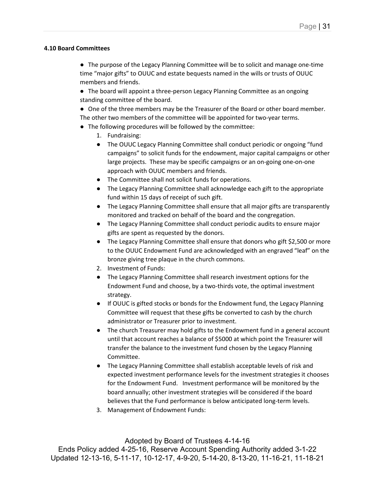### **4.10 Board Committees**

● The purpose of the Legacy Planning Committee will be to solicit and manage one-time time "major gifts" to OUUC and estate bequests named in the wills or trusts of OUUC members and friends.

● The board will appoint a three-person Legacy Planning Committee as an ongoing standing committee of the board.

- One of the three members may be the Treasurer of the Board or other board member.
- The other two members of the committee will be appointed for two-year terms.
- The following procedures will be followed by the committee:
	- 1. Fundraising:
	- The OUUC Legacy Planning Committee shall conduct periodic or ongoing "fund campaigns" to solicit funds for the endowment, major capital campaigns or other large projects. These may be specific campaigns or an on-going one-on-one approach with OUUC members and friends.
	- The Committee shall not solicit funds for operations.
	- The Legacy Planning Committee shall acknowledge each gift to the appropriate fund within 15 days of receipt of such gift.
	- The Legacy Planning Committee shall ensure that all major gifts are transparently monitored and tracked on behalf of the board and the congregation.
	- The Legacy Planning Committee shall conduct periodic audits to ensure major gifts are spent as requested by the donors.
	- The Legacy Planning Committee shall ensure that donors who gift \$2,500 or more to the OUUC Endowment Fund are acknowledged with an engraved "leaf" on the bronze giving tree plaque in the church commons.
	- 2. Investment of Funds:
	- The Legacy Planning Committee shall research investment options for the Endowment Fund and choose, by a two-thirds vote, the optimal investment strategy.
	- If OUUC is gifted stocks or bonds for the Endowment fund, the Legacy Planning Committee will request that these gifts be converted to cash by the church administrator or Treasurer prior to investment.
	- The church Treasurer may hold gifts to the Endowment fund in a general account until that account reaches a balance of \$5000 at which point the Treasurer will transfer the balance to the investment fund chosen by the Legacy Planning Committee.
	- The Legacy Planning Committee shall establish acceptable levels of risk and expected investment performance levels for the investment strategies it chooses for the Endowment Fund. Investment performance will be monitored by the board annually; other investment strategies will be considered if the board believes that the Fund performance is below anticipated long-term levels.
	- 3. Management of Endowment Funds:

## Adopted by Board of Trustees 4-14-16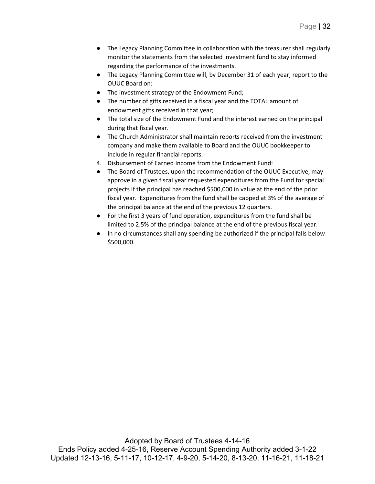- The Legacy Planning Committee in collaboration with the treasurer shall regularly monitor the statements from the selected investment fund to stay informed regarding the performance of the investments.
- The Legacy Planning Committee will, by December 31 of each year, report to the OUUC Board on:
- The investment strategy of the Endowment Fund;
- The number of gifts received in a fiscal year and the TOTAL amount of endowment gifts received in that year;
- The total size of the Endowment Fund and the interest earned on the principal during that fiscal year.
- The Church Administrator shall maintain reports received from the investment company and make them available to Board and the OUUC bookkeeper to include in regular financial reports.
- 4. Disbursement of Earned Income from the Endowment Fund:
- The Board of Trustees, upon the recommendation of the OUUC Executive, may approve in a given fiscal year requested expenditures from the Fund for special projects if the principal has reached \$500,000 in value at the end of the prior fiscal year. Expenditures from the fund shall be capped at 3% of the average of the principal balance at the end of the previous 12 quarters.
- For the first 3 years of fund operation, expenditures from the fund shall be limited to 2.5% of the principal balance at the end of the previous fiscal year.
- In no circumstances shall any spending be authorized if the principal falls below \$500,000.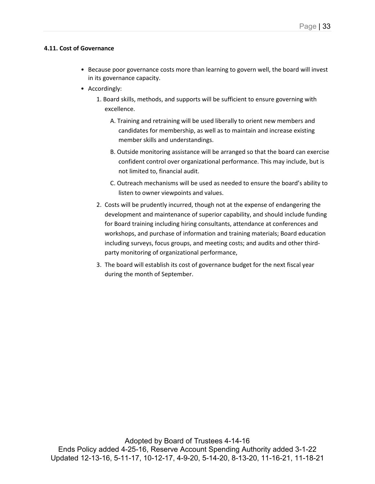#### **4.11. Cost of Governance**

- Because poor governance costs more than learning to govern well, the board will invest in its governance capacity.
- Accordingly:
	- 1. Board skills, methods, and supports will be sufficient to ensure governing with excellence.
		- A. Training and retraining will be used liberally to orient new members and candidates for membership, as well as to maintain and increase existing member skills and understandings.
		- B. Outside monitoring assistance will be arranged so that the board can exercise confident control over organizational performance. This may include, but is not limited to, financial audit.
		- C. Outreach mechanisms will be used as needed to ensure the board's ability to listen to owner viewpoints and values.
	- 2. Costs will be prudently incurred, though not at the expense of endangering the development and maintenance of superior capability, and should include funding for Board training including hiring consultants, attendance at conferences and workshops, and purchase of information and training materials; Board education including surveys, focus groups, and meeting costs; and audits and other thirdparty monitoring of organizational performance,
	- 3. The board will establish its cost of governance budget for the next fiscal year during the month of September.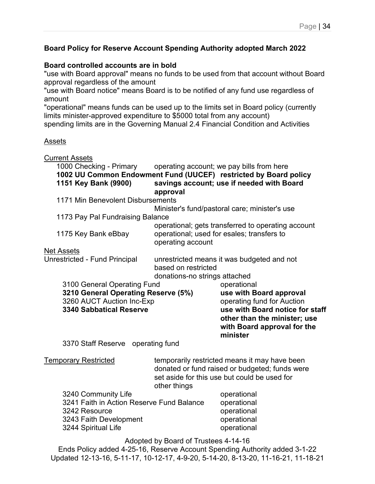## **Board Policy for Reserve Account Spending Authority adopted March 2022**

## **Board controlled accounts are in bold**

"use with Board approval" means no funds to be used from that account without Board approval regardless of the amount

"use with Board notice" means Board is to be notified of any fund use regardless of amount

"operational" means funds can be used up to the limits set in Board policy (currently limits minister-approved expenditure to \$5000 total from any account)

spending limits are in the Governing Manual 2.4 Financial Condition and Activities

## Assets

Current Assets

| 1000 Checking - Primary operating account; we pay bills from here<br>1002 UU Common Endowment Fund (UUCEF) restricted by Board policy<br>1151 Key Bank (9900) | approval                                                                                                              | savings account; use if needed with Board                                                                                                       |  |  |
|---------------------------------------------------------------------------------------------------------------------------------------------------------------|-----------------------------------------------------------------------------------------------------------------------|-------------------------------------------------------------------------------------------------------------------------------------------------|--|--|
| 1171 Min Benevolent Disbursements                                                                                                                             |                                                                                                                       |                                                                                                                                                 |  |  |
|                                                                                                                                                               |                                                                                                                       | Minister's fund/pastoral care; minister's use                                                                                                   |  |  |
| 1173 Pay Pal Fundraising Balance                                                                                                                              |                                                                                                                       |                                                                                                                                                 |  |  |
| 1175 Key Bank eBbay                                                                                                                                           | operational; gets transferred to operating account<br>operational; used for esales; transfers to<br>operating account |                                                                                                                                                 |  |  |
| <b>Net Assets</b>                                                                                                                                             |                                                                                                                       |                                                                                                                                                 |  |  |
| Unrestricted - Fund Principal                                                                                                                                 | unrestricted means it was budgeted and not<br>based on restricted<br>donations-no strings attached                    |                                                                                                                                                 |  |  |
| 3100 General Operating Fund                                                                                                                                   |                                                                                                                       | operational                                                                                                                                     |  |  |
| 3210 General Operating Reserve (5%)                                                                                                                           |                                                                                                                       | use with Board approval                                                                                                                         |  |  |
| 3260 AUCT Auction Inc-Exp<br><b>3340 Sabbatical Reserve</b>                                                                                                   |                                                                                                                       | operating fund for Auction<br>use with Board notice for staff<br>other than the minister; use<br>with Board approval for the                    |  |  |
|                                                                                                                                                               |                                                                                                                       | minister                                                                                                                                        |  |  |
| 3370 Staff Reserve operating fund                                                                                                                             |                                                                                                                       |                                                                                                                                                 |  |  |
| <b>Temporary Restricted</b>                                                                                                                                   | other things                                                                                                          | temporarily restricted means it may have been<br>donated or fund raised or budgeted; funds were<br>set aside for this use but could be used for |  |  |
| 3240 Community Life                                                                                                                                           |                                                                                                                       | operational                                                                                                                                     |  |  |
| 3241 Faith in Action Reserve Fund Balance                                                                                                                     |                                                                                                                       | operational                                                                                                                                     |  |  |
| 3242 Resource                                                                                                                                                 |                                                                                                                       | operational                                                                                                                                     |  |  |
| 3243 Faith Development<br>3244 Spiritual Life                                                                                                                 |                                                                                                                       | operational<br>operational                                                                                                                      |  |  |

Adopted by Board of Trustees 4-14-16

Ends Policy added 4-25-16, Reserve Account Spending Authority added 3-1-22 Updated 12-13-16, 5-11-17, 10-12-17, 4-9-20, 5-14-20, 8-13-20, 11-16-21, 11-18-21